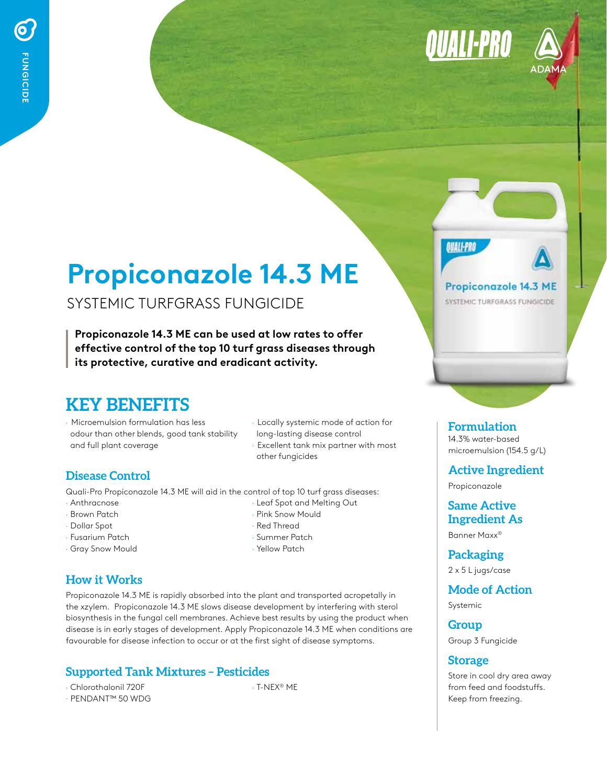



# **Propiconazole 14.3 ME**

## SYSTEMIC TURFGRASS FUNGICIDE

**Propiconazole 14.3 ME can be used at low rates to offer effective control of the top 10 turf grass diseases through its protective, curative and eradicant activity.** 

## **KEY BENEFITS**

- · Microemulsion formulation has less odour than other blends, good tank stability and full plant coverage
- · Locally systemic mode of action for long-lasting disease control · Excellent tank mix partner with most other fungicides

#### **Disease Control**

Quali-Pro Propiconazole 14.3 ME will aid in the control of top 10 turf grass diseases:

- · Anthracnose
- · Brown Patch
- · Dollar Spot
- · Fusarium Patch
- · Gray Snow Mould
- · Leaf Spot and Melting Out · Pink Snow Mould · Red Thread
- · Summer Patch
- · Yellow Patch

## **How it Works**

Propiconazole 14.3 ME is rapidly absorbed into the plant and transported acropetally in the xzylem. Propiconazole 14.3 ME slows disease development by interfering with sterol biosynthesis in the fungal cell membranes. Achieve best results by using the product when disease is in early stages of development. Apply Propiconazole 14.3 ME when conditions are favourable for disease infection to occur or at the first sight of disease symptoms.

## **Supported Tank Mixtures – Pesticides**

· Chlorothalonil 720F · PENDANT™ 50 WDG · T-NEX® ME

## Propiconazole 14.3 ME

**OUALI-PRE** 

SYSTEMIC TURFGRASS FUNGICIDE

**Formulation** 14.3% water-based microemulsion (154.5 g/L)

**Active Ingredient**

Propiconazole

**Same Active Ingredient As**

Banner Maxx®

**Packaging**  2 x 5 L jugs/case

**Mode of Action** 

Systemic

**Group** Group 3 Fungicide

#### **Storage**

Store in cool dry area away from feed and foodstuffs. Keep from freezing.